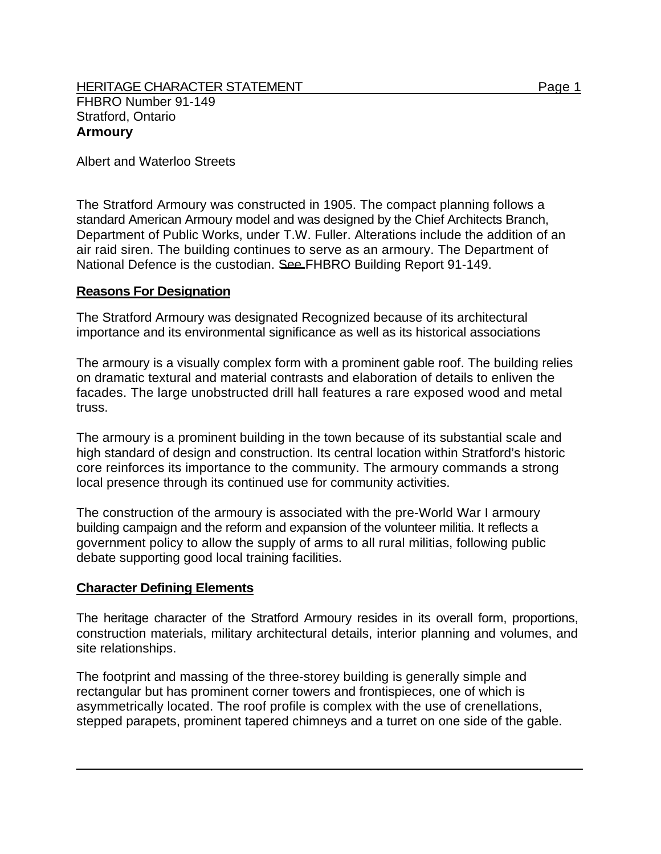HERITAGE CHARACTER STATEMENT FRIELD FOR A STATEMENT AND RAGE 1 FHBRO Number 91-149 Stratford, Ontario **Armoury** 

Albert and Waterloo Streets

The Stratford Armoury was constructed in 1905. The compact planning follows a standard American Armoury model and was designed by the Chief Architects Branch, Department of Public Works, under T.W. Fuller. Alterations include the addition of an air raid siren. The building continues to serve as an armoury. The Department of National Defence is the custodian. See FHBRO Building Report 91-149.

## **Reasons For Designation**

The Stratford Armoury was designated Recognized because of its architectural importance and its environmental significance as well as its historical associations

The armoury is a visually complex form with a prominent gable roof. The building relies on dramatic textural and material contrasts and elaboration of details to enliven the facades. The large unobstructed drill hall features a rare exposed wood and metal truss.

The armoury is a prominent building in the town because of its substantial scale and high standard of design and construction. Its central location within Stratford's historic core reinforces its importance to the community. The armoury commands a strong local presence through its continued use for community activities.

The construction of the armoury is associated with the pre-World War I armoury building campaign and the reform and expansion of the volunteer militia. It reflects a government policy to allow the supply of arms to all rural militias, following public debate supporting good local training facilities.

## **Character Defining Elements**

The heritage character of the Stratford Armoury resides in its overall form, proportions, construction materials, military architectural details, interior planning and volumes, and site relationships.

The footprint and massing of the three-storey building is generally simple and rectangular but has prominent corner towers and frontispieces, one of which is asymmetrically located. The roof profile is complex with the use of crenellations, stepped parapets, prominent tapered chimneys and a turret on one side of the gable.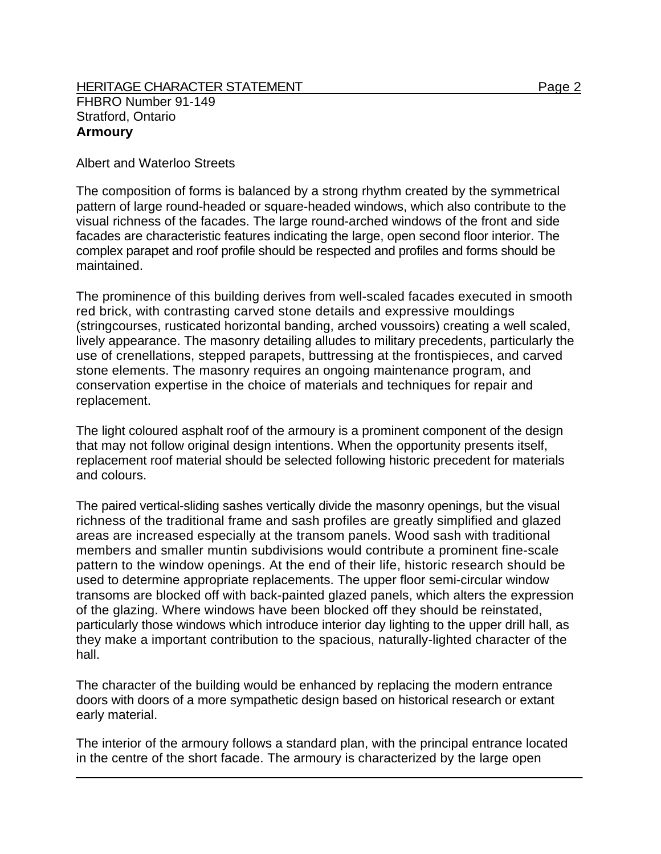## HERITAGE CHARACTER STATEMENT FRIELD FOR A STATEMENT AND RAGE 2 FHBRO Number 91-149 Stratford, Ontario **Armoury**

Albert and Waterloo Streets

The composition of forms is balanced by a strong rhythm created by the symmetrical pattern of large round-headed or square-headed windows, which also contribute to the visual richness of the facades. The large round-arched windows of the front and side facades are characteristic features indicating the large, open second floor interior. The complex parapet and roof profile should be respected and profiles and forms should be maintained.

The prominence of this building derives from well-scaled facades executed in smooth red brick, with contrasting carved stone details and expressive mouldings (stringcourses, rusticated horizontal banding, arched voussoirs) creating a well scaled, lively appearance. The masonry detailing alludes to military precedents, particularly the use of crenellations, stepped parapets, buttressing at the frontispieces, and carved stone elements. The masonry requires an ongoing maintenance program, and conservation expertise in the choice of materials and techniques for repair and replacement.

The light coloured asphalt roof of the armoury is a prominent component of the design that may not follow original design intentions. When the opportunity presents itself, replacement roof material should be selected following historic precedent for materials and colours.

The paired vertical-sliding sashes vertically divide the masonry openings, but the visual richness of the traditional frame and sash profiles are greatly simplified and glazed areas are increased especially at the transom panels. Wood sash with traditional members and smaller muntin subdivisions would contribute a prominent fine-scale pattern to the window openings. At the end of their life, historic research should be used to determine appropriate replacements. The upper floor semi-circular window transoms are blocked off with back-painted glazed panels, which alters the expression of the glazing. Where windows have been blocked off they should be reinstated, particularly those windows which introduce interior day lighting to the upper drill hall, as they make a important contribution to the spacious, naturally-lighted character of the hall.

The character of the building would be enhanced by replacing the modern entrance doors with doors of a more sympathetic design based on historical research or extant early material.

The interior of the armoury follows a standard plan, with the principal entrance located in the centre of the short facade. The armoury is characterized by the large open